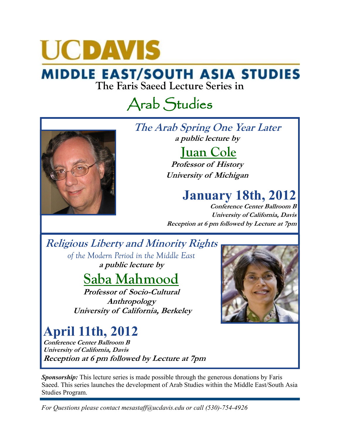# **UCDAVIS**

# **MIDDLE EAST/SOUTH ASIA STUDIES**<br>The Faris Saeed Lecture Series in

## Arab Studies



**The Arab Spring One Year Later a public lecture by**

#### **Juan Cole**

**Professor of History University of Michigan** 

#### **January 18th, 2012**

**Conference Center Ballroom B University of California, Davis Reception at 6 pm followed by Lecture at 7pm** 

#### **Religious Liberty and Minority Rights**

*of the Modern Period in the Middle East* **a public lecture by**

### **Saba Mahmood**

**Professor of Socio-Cultural Anthropology University of California, Berkeley**

### **April 11th, 2012**

**Conference Center Ballroom B University of California, Davis Reception at 6 pm followed by Lecture at 7pm** 



**Sponsorship:** This lecture series is made possible through the generous donations by Faris Saeed. This series launches the development of Arab Studies within the Middle East/South Asia Studies Program.

*For Questions please contact mesastaff@ucdavis.edu or call (530)-754-4926*